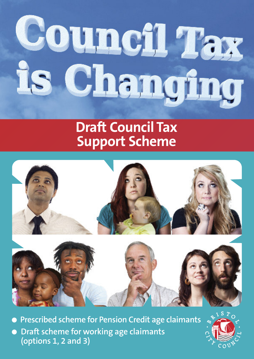# Council Tax Changing

# **Draft Council Tax Support Scheme**



l **Prescribed scheme for Pension Credit age claimants** l **Draft scheme for working age claimants (options 1, 2 and 3)**

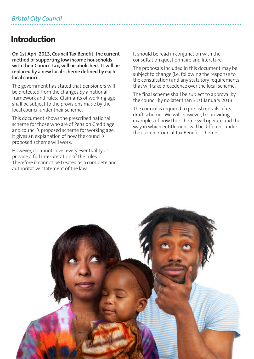# **Introduction**

**On 1st April 2013, Council Tax Benefit, the current method of supporting low income households with their Council Tax, will be abolished. It will be replaced by a new local scheme defined by each local council.**

The government has stated that pensioners will be protected from the changes by a national framework and rules. Claimants of working age shall be subject to the provisions made by the local council under their scheme.

This document shows the prescribed national scheme for those who are of Pension Credit age and council's proposed scheme for working age. It gives an explanation of how the council's proposed scheme will work.

However, it cannot cover every eventuality or provide a full interpretation of the rules. Therefore it cannot be treated as a complete and authoritative statement of the law.

It should be read in conjunction with the consultation questionnaire and literature.

The proposals included in this document may be subject to change (i.e. following the response to the consultation) and any statutory requirements that will take precedence over the local scheme.

The final scheme shall be subject to approval by the council by no later than 31st January 2013.

The council is required to publish details of its draft scheme. We will, however, be providing examples of how the scheme will operate and the way in which entitlement will be different under the current Council Tax Benefit scheme.

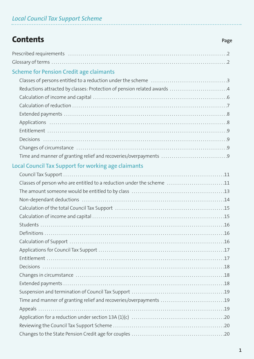| <b>Contents</b>                                                         | Page |
|-------------------------------------------------------------------------|------|
|                                                                         |      |
|                                                                         |      |
| <b>Scheme for Pension Credit age claimants</b>                          |      |
|                                                                         |      |
| Reductions attracted by classes: Protection of pension related awards 4 |      |
|                                                                         |      |
|                                                                         |      |
|                                                                         |      |
|                                                                         |      |
|                                                                         |      |
|                                                                         |      |
|                                                                         |      |
|                                                                         |      |
| <b>Local Council Tax Support for working age claimants</b>              |      |
|                                                                         |      |
| Classes of person who are entitled to a reduction under the scheme 11   |      |
|                                                                         |      |
|                                                                         |      |
|                                                                         |      |
|                                                                         |      |
| Students                                                                |      |
|                                                                         |      |
|                                                                         |      |
|                                                                         |      |
|                                                                         |      |
|                                                                         |      |
|                                                                         |      |
|                                                                         |      |
|                                                                         |      |
| Time and manner of granting relief and recoveries/overpayments 19       |      |
|                                                                         |      |
|                                                                         |      |
|                                                                         |      |
|                                                                         |      |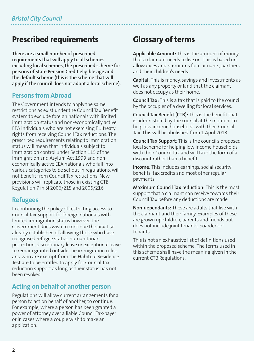# **Prescribed requirements**

**There are a small number of prescribed requirements that will apply to all schemes including local schemes, the prescribed scheme for persons of State Pension Credit eligible age and the default scheme (this is the scheme that will apply if the council does not adopt a local scheme).**

### **Persons from Abroad**

The Government intends to apply the same restrictions as exist under the Council Tax Benefit system to exclude foreign nationals with limited immigration status and non-economically active EEA individuals who are not exercising EU treaty rights from receiving Council Tax reductions. The prescribed requirements relating to immigration status will mean that individuals subject to immigration control under Section 115 of the Immigration and Asylum Act 1999 and noneconomically active EEA nationals who fall into various categories to be set out in regulations, will not benefit from Council Tax reductions. New provisions will replicate those in existing CTB Regulation 7 in SI 2006/215 and 2006/216.

### **Refugees**

In continuing the policy of restricting access to Council Tax Support for foreign nationals with limited immigration status however, the Government does wish to continue the practise already established of allowing those who have recognised refugee status, humanitarian protection, discretionary leave or exceptional leave to remain granted outside the immigration rules and who are exempt from the Habitual Residence Test are to be entitled to apply for Council Tax reduction support as long as their status has not been revoked.

### **Acting on behalf of another person**

Regulations will allow current arrangements for a person to act on behalf of another, to continue. For example, where a person has been granted a power of attorney over a liable Council Tax-payer or in cases where a couple wish to make an application.

# **Glossary** of terms

**Applicable Amount:** This is the amount of money that a claimant needs to live on. This is based on allowances and premiums for claimants, partners and their children's needs.

**Capital:** This is money, savings and investments as well as any property or land that the claimant does not occupy as their home.

**Council Tax:** This is a tax that is paid to the council by the occupier of a dwelling for local services.

**Council Tax Benefit (CTB):** This is the benefit that is administered by the council at the moment to help low income households with their Council Tax. This will be abolished from 1 April 2013.

**Council Tax Support:** This is the council's proposed local scheme for helping low income households with their Council Tax and will take the form of a discount rather than a benefit.

**Income:** This includes earnings, social security benefits, tax credits and most other regular payments.

**Maximum Council Tax reduction:** This is the most support that a claimant can receive towards their Council Tax before any deductions are made.

**Non-dependants:** These are adults that live with the claimant and their family. Examples of these are grown up children, parents and friends but does not include joint tenants, boarders or tenants.

This is not an exhaustive list of definitions used within the proposed scheme. The terms used in this scheme shall have the meaning given in the current CTB Regulations.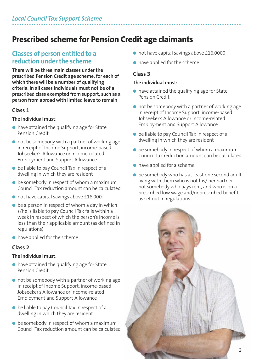# **Prescribed scheme for Pension Credit age claimants**

### **Classes of person entitled to a reduction** under the scheme

**There will be three main classes under the prescribed Pension Credit age scheme, for each of which there will be a number of qualifying criteria. In all cases individuals must not be of a prescribed class exempted from support, such as a person from abroad with limited leave to remain**

### **Class 1**

### **The individual must:**

- $\bullet$  have attained the qualifying age for State Pension Credit
- $\bullet$  not be somebody with a partner of working age in receipt of Income Support, income-based Jobseeker's Allowance or income-related Employment and Support Allowance
- $\bullet$  be liable to pay Council Tax in respect of a dwelling in which they are resident
- $\bullet$  be somebody in respect of whom a maximum Council Tax reduction amount can be calculated
- $\bullet$  not have capital savings above £16,000
- $\bullet$  be a person in respect of whom a day in which s/he is liable to pay Council Tax falls within a week in respect of which the person's income is less than their applicable amount (as defined in regulations)
- $\bullet$  have applied for the scheme

### **Class 2**

### **The individual must:**

- $\bullet$  have attained the qualifying age for State Pension Credit
- $\bullet$  not be somebody with a partner of working age in receipt of Income Support, income-based Jobseeker's Allowance or income-related Employment and Support Allowance
- $\bullet$  be liable to pay Council Tax in respect of a dwelling in which they are resident
- $\bullet$  be somebody in respect of whom a maximum Council Tax reduction amount can be calculated
- $\bullet$  not have capital savings above £16,0000
- $\bullet$  have applied for the scheme

### **Class 3**

### **The individual must:**

- $\bullet$  have attained the qualifying age for State Pension Credit
- $\bullet$  not be somebody with a partner of working age in receipt of Income Support, income-based Jobseeker's Allowance or income-related Employment and Support Allowance
- $\bullet$  be liable to pay Council Tax in respect of a dwelling in which they are resident
- $\bullet$  be somebody in respect of whom a maximum Council Tax reduction amount can be calculated
- $\bullet$  have applied for a scheme
- $\bullet$  be somebody who has at least one second adult living with them who is not his/ her partner, not somebody who pays rent, and who is on a prescribed low wage and/or prescribed benefit, as set out in regulations.

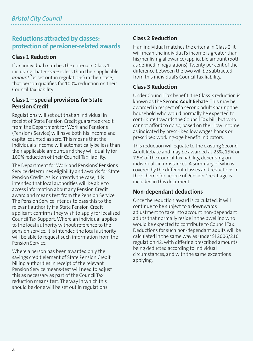### **Reductions attracted by classes: protection of pensioner-related awards**

### **Class 1 Reduction**

If an individual matches the criteria in Class 1, including that *income* is less than their applicable *amount* (as set out in regulations) in their case, that person qualifies for 100% reduction on their Council Tax liability.

### **Class 1 – special provisions for State Pension Credit**

Regulations will set out that an individual in receipt of State Pension Credit guarantee credit from the Department for Work and Pensions (Pensions Service) will have both his income and capital counted as zero. This means that the individual's income will automatically be less than their applicable amount, and they will qualify for 100% reduction of their Council Tax liability.

The Department for Work and Pensions' Pensions Service determines eligibility and awards for State Pension Credit. As is currently the case, it is intended that local authorities will be able to access information about any Pension Credit award and means test from the Pension Service. The Pension Service intends to pass this to the relevant authority if a State Pension Credit applicant confirms they wish to apply for localised Council Tax Support. Where an individual applies to the local authority without reference to the pension service, it is intended the local authority will be able to request such information from the Pension Service.

Where a person has been awarded only the savings credit element of State Pension Credit, billing authorities in receipt of the relevant Pension Service means-test will need to adjust this as necessary as part of the Council Tax reduction means test. The way in which this should be done will be set out in regulations.

### **Class 2 Reduction**

If an individual matches the criteria in Class 2, it will mean the individual's income is greater than his/her living allowance/applicable amount (both as defined in regulations). Twenty per cent of the difference between the two will be subtracted from this individual's Council Tax liability.

### **Class 3 Reduction**

Under Council Tax benefit, the Class 3 reduction is known as the **Second Adult Rebate**. This may be awarded in respect of a second adult sharing the household who would normally be expected to contribute towards the Council Tax bill, but who cannot afford to do so, based on their low income as indicated by prescribed low wages bands or prescribed working-age benefit indicators.

This reduction will equate to the existing Second Adult Rebate and may be awarded at 25%, 15% or 7.5% of the Council Tax liability, depending on individual circumstances. A summary of who is covered by the different classes and reductions in the scheme for people of Pension Credit age is included in this document.

### **Non-dependant deductions**

Once the reduction award is calculated, it will continue to be subject to a downwards adjustment to take into account non-dependant adults that normally reside in the dwelling who would be expected to contribute to Council Tax. Deductions for such non-dependant adults will be calculated in the same way as under SI 2006/216 regulation 42, with differing prescribed amounts being deducted according to individual circumstances, and with the same exceptions applying.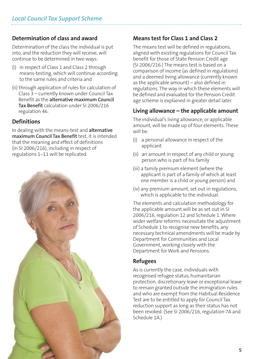### **Determination of class and award**

Determination of the class the individual is put into, and the reduction they will receive, will continue to be determined in two ways:

- (i) in respect of Class 1 and Class 2 through means-testing, which will continue according to the same rules and criteria and
- (ii) through application of rules for calculation of Class 3 – currently known under Council Tax Benefit as the **alternative maximum Council Tax Benefit** calculation under SI 2006/216 regulation 46.

### **Definitions**

In dealing with the means-test and **alternative maximum Council Tax Benefit** test, it is intended that the meaning and effect of definitions (in SI 2006/216), including in respect of regulations 1–11 will be replicated.



### **Means test for Class 1 and Class 2**

The means test will be defined in regulations, aligned with existing regulations for Council Tax benefit for those of State Pension Credit age (SI 2006/216.) The means test is based on a comparison of income (as defined in regulations) and a deemed living allowance (currently known as the applicable amount) – also defined in regulations. The way in which these elements will be defined and evaluated for the Pension Credit age scheme is explained in greater detail later.

### **Living allowance – the applicable amount**

The individual's living allowance, or applicable amount, will be made up of four elements. These will be:

- (i) a personal allowance in respect of the applicant
- (ii) an amount in respect of any child or young person who is part of his family
- (iii) a family premium element (where the applicant is part of a family of which at least one member is a child or young person) and
- (iv) any premium amount, set out in regulations, which is applicable to the individual.

The elements and calculation methodology for the applicable amount will be as set out in SI 2006/216, regulation 12 and Schedule 1. Where wider welfare reforms necessitate the adjustment of Schedule 1 to recognise new benefits, any necessary technical amendments will be made by Department for Communities and Local Government, working closely with the Department for Work and Pensions.

### **Refugees**

As is currently the case, individuals with recognised refugee status, humanitarian protection, discretionary leave or exceptional leave to remain granted outside the immigration rules and who are exempt from the Habitual Residence Test are to be entitled to apply for Council Tax reduction support as long as their status has not been revoked. (See SI 2006/216, regulation 7A and Schedule 1A.)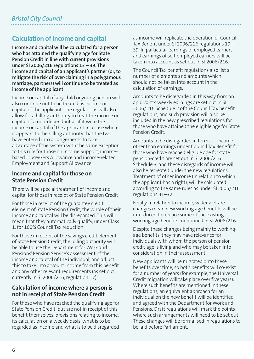# **Calculation of income and capital**

**Income and capital will be calculated for a person who has attained the qualifying age for State Pension Credit in line with current provisions under SI 2006/216 regulations 13 – 39. The income and capital of an applicant's partner (or, to mitigate the risk of over-claiming in a polygamous marriage, partners) will continue to be treated as income of the applicant.**

Income or capital of any child or young person will also continue not to be treated as income or capital of the applicant. The regulations will also allow for a billing authority to treat the income or capital of a non-dependant as if it were the income or capital of the applicant in a case where it appears to the billing authority that the two have entered into arrangements to take advantage of the system with the same exception to this rule for those on Income Support, incomebased Jobseekers Allowance and income-related Employment and Support Allowance.

### **Income and capital for those on State Pension Credit**

There will be special treatment of income and capital for those in receipt of State Pension Credit:

For those in receipt of the guarantee credit element of State Pension Credit, the whole of their income and capital will be disregarded. This will mean that they automatically qualify, under Class 1, for 100% Council Tax reduction.

For those in receipt of the savings credit element of State Pension Credit, the billing authority will be able to use the Department for Work and Pensions' Pension Service's assessment of the income and capital of the individual, and adjust this to take into account income from this benefit and any other relevant requirements (as set out currently in SI 2006/216, regulation 17).

### **Calculation of income where a person is not in receipt of State Pension Credit**

For those who have reached the qualifying age for State Pension Credit, but are not in receipt of this benefit themselves, provisions relating to income, its calculation on a weekly basis, what is to be regarded as income and what is to be disregarded

as income will replicate the operation of Council Tax Benefit under SI 2006/216 regulations 19 – 39. In particular, earnings of employed earners and earnings of self-employed earners will be taken into account as set out in SI 2006/216.

The Council Tax benefit regulations also list a number of elements and amounts which should not be taken into account in the calculation of earnings.

Amounts to be disregarded in this way from an applicant's weekly earnings are set out in SI 2006/216 Schedule 2 of the Council Tax benefit regulations, and such provision will also be included in the new prescribed regulations for those who have attained the eligible age for State Pension Credit.

Amounts to be disregarded in terms of income other than earnings under Council Tax Benefit for those who have reached eligible age for state pension-credit are set out in SI 2006/216 Schedule 3, and these disregards of income will also be recreated under the new regulations. Treatment of other income (in relation to which the applicant has a right), will be calculated according to the same rules as under SI 2006/216 regulations 31–32.

Finally, in relation to income, wider welfare changes mean new working age benefits will be introduced to replace some of the existing working age benefits mentioned in SI 2006/216.

Despite these changes being mainly to workingage benefits, they may have relevance for individuals with whom the person of pensioncredit age is living and who may be taken into consideration in their assessment.

New applicants will be migrated onto these benefits over time, so both benefits will co-exist for a number of years (for example, the Universal Credit migration will take place over five years). Where such benefits are mentioned in these regulations, an equivalent approach for an individual on the new benefit will be identified and agreed with the Department for Work and Pensions. Draft regulations will mark the points where such arrangements will need to be set out. These changes will be formalised in regulations to be laid before Parliament.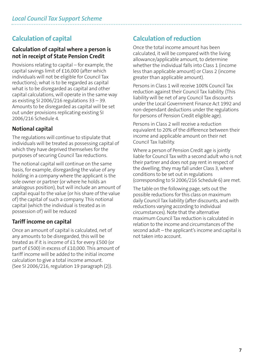# **Calculation of capital**

### **Calculation of capital where a person is not in receipt of State Pension Credit**

Provisions relating to capital – for example, the capital savings limit of £16,000 (after which individuals will not be eligible for Council Tax reductions); what is to be regarded as capital what is to be disregarded as capital and other capital calculations, will operate in the same way as existing SI 2006/216 regulations  $33 - 39$ . Amounts to be disregarded as capital will be set out under provisions replicating existing SI 2006/216 Schedule 4.

### **Notional capital**

The regulations will continue to stipulate that individuals will be treated as possessing capital of which they have deprived themselves for the purposes of securing Council Tax reductions.

The notional capital will continue on the same basis, for example, disregarding the value of any holding in a company where the applicant is the sole owner or partner (or where he holds an analogous position), but will include an amount of capital equal to the value (or his share of the value of) the capital of such a company. This notional capital (which the individual is treated as in possession of) will be reduced

### **Tariff income on capital**

Once an amount of capital is calculated, net of any amounts to be disregarded, this will be treated as if it is income of £1 for every £500 (or part of £500) in excess of £10,000. This amount of tariff income will be added to the initial income calculation to give a total income amount. (See SI 2006/216, regulation 19 paragraph (2)).

## **Calculation of reduction**

Once the total income amount has been calculated, it will be compared with the living allowance/applicable amount, to determine whether the individual falls into Class 1 (income less than applicable amount) or Class 2 (income greater than applicable amount).

Persons in Class 1 will receive 100% Council Tax reduction against their Council Tax liability. (This liability will be net of any Council Tax discounts under the Local Government Finance Act 1992 and non-dependant deductions under the regulations for persons of Pension Credit eligible age).

Persons in Class 2 will receive a reduction equivalent to 20% of the difference between their income and applicable amount on their net Council Tax liability.

Where a person of Pension Credit age is jointly liable for Council Tax with a second adult who is not their partner and does not pay rent in respect of the dwelling, they may fall under Class 3, where conditions to be set out in regulations (corresponding to SI 2006/216 Schedule 6) are met.

The table on the following page, sets out the possible reductions forthis class on maximum daily Council Tax liability (after discounts, and with reductions varying according to individual circumstances). Note that the alternative maximum Council Tax reduction is calculated in relation to the income and circumstances ofthe second adult – the applicant's income and capital is not taken into account.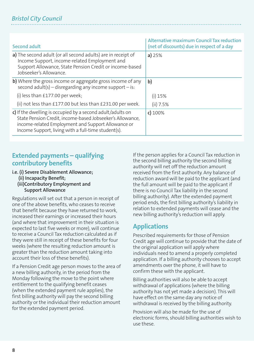### *Bristol City Council*

| Second adult                                                                                                                                                                                                                         | <b>Alternative maximum Council Tax reduction</b><br>(net of discounts) due in respect of a day |
|--------------------------------------------------------------------------------------------------------------------------------------------------------------------------------------------------------------------------------------|------------------------------------------------------------------------------------------------|
| a) The second adult (or all second adults) are in receipt of<br>Income Support, income-related Employment and<br>Support Allowance, State Pension Credit or income-based<br>Jobseeker's Allowance.                                   | a) $25%$                                                                                       |
| b) Where the gross income or aggregate gross income of any<br>second adult(s) – disregarding any income support – is:                                                                                                                | b)                                                                                             |
| (i) less than $£177.00$ per week;                                                                                                                                                                                                    | $(i)$ 15%                                                                                      |
| (ii) not less than £177.00 but less than £231.00 per week.                                                                                                                                                                           | (ii) 7.5%                                                                                      |
| c) If the dwelling is occupied by a second adult/adults on<br>State Pension Credit, income-based Jobseeker's Allowance,<br>income-related Employment and Support Allowance or<br>Income Support, living with a full-time student(s). | $c)$ 100%                                                                                      |

### **Extended payments – qualifying contributory benefits**

**i.e. (i) Severe Disablement Allowance;**

**(ii) Incapacity Benefit;**

**(iii)Contributory Employment and Support Allowance**

Regulations will set out that a person in receipt of one of the above benefits, who ceases to receive that benefit because they have returned to work, increased their earnings or increased their hours (and where that improvement in their situation is expected to last five weeks or more), will continue to receive a Council Tax reduction calculated as if they were still in receipt of these benefits for four weeks (where the resulting reduction amount is greater than the reduction amount taking into account their loss of these benefits).

If a Pension Credit age person moves to the area of a new billing authority, in the period from the Monday following the move to the point where entitlement to the qualifying benefit ceases (when the extended payment rule applies), the first billing authority will pay the second billing authority or the individual their reduction amount for the extended payment period.

If the person applies for a Council Tax reduction in the second billing authority the second billing authority will net off the reduction amount received from the first authority. Any balance of reduction award will be paid to the applicant (and the full amount will be paid to the applicant if there is no Council Tax liability in the second billing authority). After the extended payment period ends, the first billing authority's liability in relation to extended payments will cease and the new billing authority's reduction will apply.

### **Applications**

Prescribed requirements for those of Pension Credit age will continue to provide that the date of the original application will apply where individuals need to amend a properly completed application. If a billing authority chooses to accept amendments over the phone, it will have to confirm these with the applicant.

Billing authorities will also be able to accept withdrawal of applications (where the billing authority has not yet made a decision). This will have effect on the same day any notice of withdrawal is received by the billing authority.

Provision will also be made for the use of electronic forms, should billing authorities wish to use these.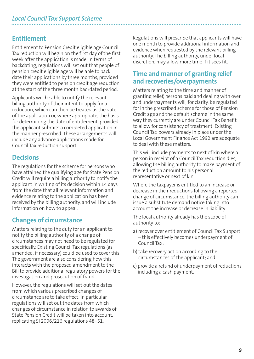### **Entitlement**

Entitlement to Pension Credit eligible age Council Tax reduction will begin on the first day of the first week after the application is made. In terms of backdating, regulations will set out that people of pension credit eligible age will be able to back date their applications by three months, provided they were entitled to pension credit age reduction at the start of the three month backdated period.

Applicants will be able to notify the relevant billing authority of their intent to apply for a reduction, which can then be treated as the date of the application or, where appropriate, the basis for determining the date of entitlement, provided the applicant submits a completed application in the manner prescribed. These arrangements will include any advance applications made for Council Tax reduction support.

### **Decisions**

The regulations for the scheme for persons who have attained the qualifying age for State Pension Credit will require a billing authority to notify the applicant in writing of its decision within 14 days from the date that all relevant information and evidence relating to the application has been received by the billing authority, and will include information on how to appeal.

### **Changes of circumstance**

Matters relating to the duty for an applicant to notify the billing authority of a change of circumstances may not need to be regulated for specifically. Existing Council Tax regulations (as amended, if necessary) could be used to cover this. The government are also considering how this interacts with the proposed amendment to the Bill to provide additional regulatory powers for the investigation and prosecution of fraud.

However, the regulations will set out the dates from which various prescribed changes of circumstance are to take effect. In particular, regulations will set out the dates from which changes of circumstance in relation to awards of State Pension Credit will be taken into account, replicating SI 2006/216 regulations 48–51.

Regulations will prescribe that applicants will have one month to provide additional information and evidence when requested by the relevant billing authority. The billing authority, under local discretion, may allow more time if it sees fit.

### **Time and manner of granting relief and recoveries/overpayments**

Matters relating to the time and manner of granting relief, persons paid and dealing with over and underpayments will, for clarity, be regulated for in the prescribed scheme for those of Pension Credit age and the default scheme in the same way they currently are under Council Tax Benefit to allow for consistency of treatment. Existing Council Tax powers already in place under the Local Government Finance Act 1992 are adequate to deal with these matters.

This will include payments to next of kin where a person in receipt of a Council Tax reduction dies, allowing the billing authority to make payment of the reduction amount to his personal representative or next of kin.

Where the taxpayer is entitled to an increase or decrease in their reductions following a reported change of circumstance, the billing authority can issue a substitute demand notice taking into account the increase or decrease in liability.

The local authority already has the scope of authority to:

- a) recover over entitlement of Council Tax Support – this effectively becomes underpayment of Council Tax;
- b) take recovery action according to the circumstances of the applicant; and
- c) provide a refund of underpayment of reductions including a cash payment.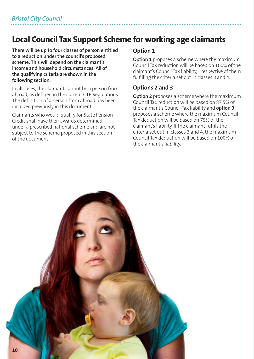# **Local Council Tax Support Scheme for working age claimants**

**There will be up to four classes of person entitled to a reduction under the council's proposed scheme. This will depend on the claimant's income and household circumstances. All of the qualifying criteria are shown in the following section.**

In all cases, the claimant cannot be a person from abroad, as defined in the current CTB Regulations. The definition of a person from abroad has been included previously in this document.

Claimants who would qualify for State Pension Credit shall have their awards determined under a prescribed national scheme and are not subject to the scheme proposed in this section of the document.

### **Option 1**

**Option 1** proposes a scheme where the maximum Council Tax reduction will be based on 100% of the claimant's Council Tax liability, irrespective of them fulfilling the criteria set out in classes 3 and 4.

### **Options 2 and 3**

**Option 2** proposes a scheme where the maximum Council Tax reduction will be based on 87.5% of the claimant's Council Tax liability and **option 3** proposes a scheme where the maximum Council Tax deduction will be based on 75% of the claimant's liability. If the claimant fulfils the criteria set out in classes 3 and 4, the maximum Council Tax deduction will be based on 100% of the claimant's liability.

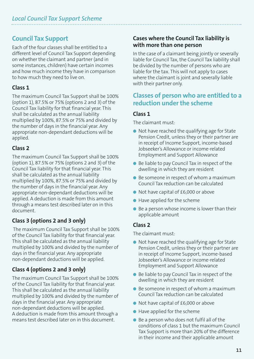### **Council Tax Support**

Each of the four classes shall be entitled to a different level of Council Tax Support depending on whether the claimant and partner (and in some instances, children) have certain incomes and how much income they have in comparison to how much they need to live on.

### **Class 1**

The maximum Council Tax Support shall be 100% (option 1), 87.5% or 75% (options 2 and 3) of the Council Tax liability for that financial year. This shall be calculated as the annual liability multiplied by 100%, 87.5% or 75% and divided by the number of days in the financial year. Any appropriate non-dependant deductions will be applied.

### **Class 2**

The maximum Council Tax Support shall be 100% (option 1), 87.5% or 75% (options 2 and 3) of the Council Tax liability for that financial year. This shall be calculated as the annual liability multiplied by 100%, 87.5% or 75% and divided by the number of days in the financial year. Any appropriate non-dependant deductions will be applied. A deduction is made from this amount through a means test described later on in this document.

### **Class 3 (options 2 and 3 only)**

The maximum Council Tax Support shall be 100% of the Council Tax liability for that financial year. This shall be calculated as the annual liability multiplied by 100% and divided by the number of days in the financial year. Any appropriate non-dependant deductions will be applied.

### **Class 4 (options 2 and 3 only)**

The maximum Council Tax Support shall be 100% of the Council Tax liability for that financial year. This shall be calculated as the annual liability multiplied by 100% and divided by the number of days in the financial year. Any appropriate non-dependant deductions will be applied. A deduction is made from this amount through a means test described later on in this document.

### **Cases where the Council Tax liability is with more than one person**

In the case of a claimant being jointly or severally liable for Council Tax, the Council Tax liability shall be divided by the number of persons who are liable for the tax. This will not apply to cases where the claimant is joint and severally liable with their partner only.

### **Classes of person who are entitled to a reduction underthe scheme**

### **Class 1**

The claimant must:

- Not have reached the qualifying age for State Pension Credit, unless they or their partner are in receipt of Income Support, income-based Jobseeker's Allowance or income-related Employment and Support Allowance
- $\bullet$  Be liable to pay Council Tax in respect of the dwelling in which they are resident
- $\bullet$  Be someone in respect of whom a maximum Council Tax reduction can be calculated
- $\bullet$  Not have capital of £6,000 or above
- $\bullet$  Have applied for the scheme
- $\bullet$  Be a person whose income is lower than their applicable amount

### **Class 2**

The claimant must:

- Not have reached the qualifying age for State Pension Credit, unless they or their partner are in receipt of Income Support, income-based Jobseeker's Allowance or income-related Employment and Support Allowance
- Be liable to pay Council Tax in respect of the dwelling in which they are resident
- $\bullet$  Be someone in respect of whom a maximum Council Tax reduction can be calculated
- l Not have capital of £6,000 or above
- $\bullet$  Have applied for the scheme
- $\bullet$  Be a person who does not fulfil all of the conditions of class 1 but the maximum Council Tax Support is more than 20% of the difference in their income and their applicable amount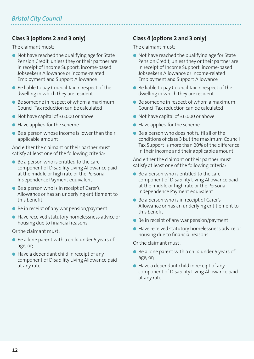### **Class 3 (options 2 and 3 only)**

The claimant must:

- Not have reached the qualifying age for State Pension Credit, unless they or their partner are in receipt of Income Support, income-based Jobseeker's Allowance or income-related Employment and Support Allowance
- $\bullet$  Be liable to pay Council Tax in respect of the dwelling in which they are resident
- Be someone in respect of whom a maximum Council Tax reduction can be calculated
- Not have capital of £6,000 or above
- $\bullet$  Have applied for the scheme
- $\bullet$  Be a person whose income is lower than their applicable amount

And either the claimant or their partner must satisfy at least one of the following criteria:

- $\bullet$  Be a person who is entitled to the care component of Disability Living Allowance paid at the middle or high rate or the Personal Independence Payment equivalent
- Be a person who is in receipt of Carer's Allowance or has an underlying entitlement to this benefit
- $\bullet$  Be in receipt of any war pension/payment
- Have received statutory homelessness advice or housing due to financial reasons

Or the claimant must:

- Be a lone parent with a child under 5 years of age, or;
- $\bullet$  Have a dependant child in receipt of any component of Disability Living Allowance paid at any rate

### **Class 4 (options 2 and 3 only)**

The claimant must:

- Not have reached the qualifying age for State Pension Credit, unless they or their partner are in receipt of Income Support, income-based Jobseeker's Allowance or income-related Employment and Support Allowance
- $\bullet$  Be liable to pay Council Tax in respect of the dwelling in which they are resident
- Be someone in respect of whom a maximum Council Tax reduction can be calculated
- Not have capital of £6,000 or above
- $\bullet$  Have applied for the scheme
- $\bullet$  Be a person who does not fulfil all of the conditions of class 3 but the maximum Council Tax Support is more than 20% of the difference in their income and their applicable amount

And either the claimant or their partner must satisfy at least one of the following criteria:

- $\bullet$  Be a person who is entitled to the care component of Disability Living Allowance paid at the middle or high rate or the Personal Independence Payment equivalent
- Be a person who is in receipt of Carer's Allowance or has an underlying entitlement to this benefit
- $\bullet$  Be in receipt of any war pension/payment
- l Have received statutory homelessness advice or housing due to financial reasons

Or the claimant must:

- $\bullet$  Be a lone parent with a child under 5 years of age, or;
- $\bullet$  Have a dependant child in receipt of any component of Disability Living Allowance paid at any rate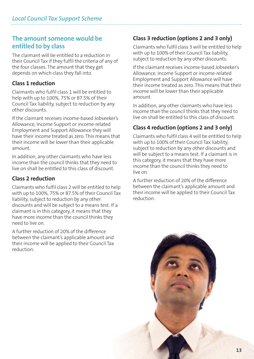### **The amount someone would be entitled to by class**

The claimant will be entitled to a reduction in their Council Tax if they fulfil the criteria of any of the four classes. The amount that they get depends on which class they fall into.

### **Class 1 reduction**

Claimants who fulfil class 1 will be entitled to help with up to 100%, 75% or 87.5% of their Council Tax liability, subject to reduction by any other discounts.

If the claimant receives income-based Jobseeker's Allowance, Income Support or income-related Employment and Support Allowance they will have their income treated as zero. This means that their income will be lower than their applicable amount.

In addition, any other claimants who have less income than the council thinks that they need to live on shall be entitled to this class of discount.

### **Class 2 reduction**

Claimants who fulfil class 2 will be entitled to help with up to 100%, 75% or 87.5% of their Council Tax liability, subject to reduction by any other discounts and will be subject to a means test. If a claimant is in this category, it means that they have more income than the council thinks they need to live on.

A further reduction of 20% of the difference between the claimant's applicable amount and their income will be applied to their Council Tax reduction.

### **Class 3 reduction (options 2 and 3 only)**

Claimants who fulfil class 3 will be entitled to help with up to 100% of their Council Tax liability, subject to reduction by any other discounts.

If the claimant receives income-based Jobseeker's Allowance, Income Support or income-related Employment and Support Allowance will have their income treated as zero. This means that their income will be lower than their applicable amount.

In addition, any other claimants who have less income than the council thinks that they need to live on shall be entitled to this class of discount.

### **Class 4 reduction (options 2 and 3 only)**

Claimants who fulfil class 4 will be entitled to help with up to 100% of their Council Tax liability, subject to reduction by any other discounts and will be subject to a means test. If a claimant is in this category, it means that they have more income than the council thinks they need to live on.

A further reduction of 20% of the difference between the claimant's applicable amount and their income will be applied to their Council Tax reduction.

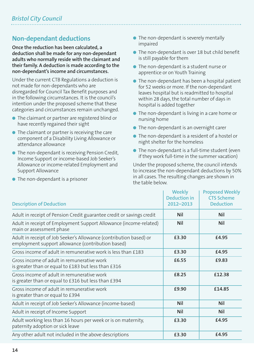### **Non-dependant deductions**

**Once the reduction has been calculated, a deduction shall be made for any non-dependant adults who normally reside with the claimant and their family. A deduction is made according to the non-dependant's income and circumstances.**

Under the current CTB Regulations a deduction is not made for non-dependants who are disregarded for Council Tax Benefit purposes and in the following circumstances. It is the council's intention under the proposed scheme that these categories and circumstances remain unchanged.

- **•** The claimant or partner are registered blind or have recently regained their sight
- $\bullet$  The claimant or partner is receiving the care component of a Disability Living Allowance or attendance allowance
- The non-dependant is receiving Pension Credit, Income Support or income-based Job Seeker's Allowance or income-related Employment and Support Allowance
- $\bullet$  The non-dependant is a prisoner
- The non-dependant is severely mentally impaired
- The non-dependant is over 18 but child benefit is still payable for them
- **•** The non-dependant is a student nurse or apprentice or on Youth Training
- **•** The non-dependant has been a hospital patient for 52 weeks or more. If the non-dependant leaves hospital but is readmitted to hospital within 28 days, the total number of days in hospital is added together
- The non-dependant is living in a care home or nursing home
- The non-dependant is an overnight carer
- **The non-dependant is a resident of a hostel or** night shelter for the homeless
- $\bullet$  The non-dependant is a full-time student (even if they work full-time in the summer vacation)

Under the proposed scheme, the council intends to increase the non-dependant deductions by 50% in all cases. The resulting changes are shown in the table below.

| <b>Description of Deduction</b>                                                                                         | <b>Weekly</b><br><b>Deduction in</b><br>2012-2013 | <b>Proposed Weekly</b><br><b>CTS Scheme</b><br><b>Deduction</b> |
|-------------------------------------------------------------------------------------------------------------------------|---------------------------------------------------|-----------------------------------------------------------------|
| Adult in receipt of Pension Credit guarantee credit or savings credit                                                   | <b>Nil</b>                                        | <b>Nil</b>                                                      |
| Adult in receipt of Employment Support Allowance (income-related)<br>main or assessment phase                           | <b>Nil</b>                                        | <b>Nil</b>                                                      |
| Adult in receipt of Job Seeker's Allowance (contribution based) or<br>employment support allowance (contribution based) | £3.30                                             | £4.95                                                           |
| Gross income of adult in remunerative work is less than £183                                                            | £3.30                                             | £4.95                                                           |
| Gross income of adult in remunerative work<br>is greater than or equal to £183 but less than £316                       | £6.55                                             | £9.83                                                           |
| Gross income of adult in remunerative work<br>is greater than or equal to £316 but less than £394                       | £8.25                                             | £12.38                                                          |
| Gross income of adult in remunerative work<br>is greater than or equal to £394                                          | £9.90                                             | £14.85                                                          |
| Adult in receipt of Job Seeker's Allowance (income-based)                                                               | <b>Nil</b>                                        | <b>Nil</b>                                                      |
| Adult in receipt of Income Support                                                                                      | <b>Nil</b>                                        | <b>Nil</b>                                                      |
| Adult working less than 16 hours per week or is on maternity,<br>paternity adoption or sick leave                       | £3.30                                             | £4.95                                                           |
| Any other adult not included in the above descriptions                                                                  | £3.30                                             | £4.95                                                           |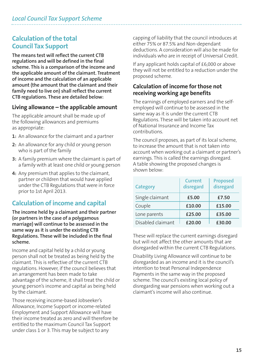### **Calculation of the total Council Tax Support**

**The means test will reflect the current CTB regulations and will be defined in the final scheme. This is a comparison of the income and the applicable amount of the claimant. Treatment of income and the calculation of an applicable amount (the amount that the claimant and their family need to live on) shall reflect the current CTB regulations. These are detailed below:**

### **Living allowance – the applicable amount**

The applicable amount shall be made up of the following allowances and premiums as appropriate:

- **1:** An allowance for the claimant and a partner
- **2:** An allowance for any child or young person who is part of the family
- **3:** A family premium where the claimant is part of a family with at least one child or young person
- **4:** Any premium that applies to the claimant, partner or children that would have applied under the CTB Regulations that were in force prior to 1st April 2013.

### **Calculation of income and capital**

**The income held by a claimant and their partner (or partners in the case of a polygamous marriage) will continue to be assessed in the same way as it is under the existing CTB Regulations. These will be included in the final scheme.**

Income and capital held by a child or young person shall not be treated as being held by the claimant. This is reflective of the current CTB regulations. However, if the council believes that an arrangement has been made to take advantage of the scheme, it shall treat the child or young person's income and capital as being held by the claimant.

Those receiving income-based Jobseeker's Allowance, Income Support or income-related Employment and Support Allowance will have their income treated as zero and will therefore be entitled to the maximum Council Tax Support under class 1 or 3. This may be subject to any

capping of liability that the council introduces at either 75% or 87.5% and Non-dependant deductions. A consideration will also be made for individuals who are in receipt of Universal Credit.

If any applicant holds capital of £6,000 or above they will not be entitled to a reduction under the proposed scheme.

### **Calculation of income for those not receiving working age benefits**

The earnings of employed earners and the selfemployed will continue to be assessed in the same way as it is under the current CTB Regulations. These will be taken into account net of National Insurance and Income Tax contributions.

The council proposes, as part of its local scheme, to increase the amount that is not taken into account when working out a claimant or partner's earnings. This is called the earnings disregard. A table showing the proposed changes is shown below:

| <b>Category</b>   | <b>Current</b><br>disregard | <b>Proposed</b><br>disregard |
|-------------------|-----------------------------|------------------------------|
| Single claimant   | £5.00                       | £7.50                        |
| Couple            | £10.00                      | £15.00                       |
| Lone parents      | £25.00                      | £35.00                       |
| Disabled claimant | £20.00                      | £30.00                       |

These will replace the current earnings disregard but will not affect the other amounts that are disregarded within the current CTB Regulations.

Disability Living Allowance will continue to be disregarded as an income and it is the council's intention to treat Personal Independence Payments in the same way in the proposed scheme. The council's existing local policy of disregarding war pensions when working out a claimant's income will also continue.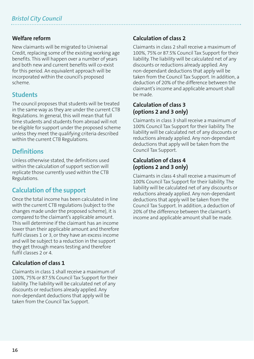### **Welfare reform**

New claimants will be migrated to Universal Credit, replacing some of the existing working age benefits. This will happen over a number of years and both new and current benefits will co-exist for this period. An equivalent approach will be incorporated within the council's proposed scheme.

### **Students**

The council proposes that students will be treated in the same way as they are under the current CTB Regulations. In general, this will mean that full time students and students from abroad will not be eligible for support under the proposed scheme unless they meet the qualifying criteria described within the current CTB Regulations.

### **Definitions**

Unless otherwise stated, the definitions used within the calculation of support section will replicate those currently used within the CTB Regulations.

### **Calculation of the support**

Once the total income has been calculated in line with the current CTB regulations (subject to the changes made under the proposed scheme), it is compared to the claimant's applicable amount. This will determine if the claimant has an income lower than their applicable amount and therefore fulfil classes 1 or 3, or they have an excess income and will be subject to a reduction in the support they get through means testing and therefore fulfil classes 2 or 4.

### **Calculation of class 1**

Claimants in class 1 shall receive a maximum of 100%, 75% or 87.5% Council Tax Support for their liability. The liability will be calculated net of any discounts or reductions already applied. Any non-dependant deductions that apply will be taken from the Council Tax Support.

### **Calculation of class 2**

Claimants in class 2 shall receive a maximum of 100%, 75% or 87.5% Council Tax Support for their liability. The liability will be calculated net of any discounts or reductions already applied. Any non-dependant deductions that apply will be taken from the Council Tax Support. In addition, a deduction of 20% of the difference between the claimant's income and applicable amount shall be made.

### **Calculation of class 3 (options 2 and 3 only)**

Claimants in class 3 shall receive a maximum of 100% Council Tax Support for their liability. The liability will be calculated net of any discounts or reductions already applied. Any non-dependant deductions that apply will be taken from the Council Tax Support.

### **Calculation of class 4 (options 2 and 3 only)**

Claimants in class 4 shall receive a maximum of 100% Council Tax Support for their liability. The liability will be calculated net of any discounts or reductions already applied. Any non-dependant deductions that apply will be taken from the Council Tax Support. In addition, a deduction of 20% of the difference between the claimant's income and applicable amount shall be made.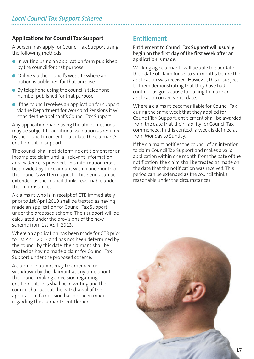### **Applications for Council Tax Support**

A person may apply for Council Tax Support using the following methods:

- $\bullet$  In writing using an application form published by the council for that purpose
- $\bullet$  Online via the council's website where an option is published for that purpose
- By telephone using the council's telephone number published for that purpose
- $\bullet$  If the council receives an application for support via the Department for Work and Pensions it will consider the applicant's Council Tax Support

Any application made using the above methods may be subject to additional validation as required by the council in order to calculate the claimant's entitlement to support.

The council shall not determine entitlement for an incomplete claim until all relevant information and evidence is provided. This information must be provided by the claimant within one month of the council's written request. This period can be extended as the council thinks reasonable under the circumstances.

A claimant who is in receipt of CTB immediately prior to 1st April 2013 shall be treated as having made an application for Council Tax Support under the proposed scheme. Their support will be calculated under the provisions of the new scheme from 1st April 2013.

Where an application has been made for CTB prior to 1st April 2013 and has not been determined by the council by this date, the claimant shall be treated as having made a claim for Council Tax Support under the proposed scheme.

A claim for support may be amended or withdrawn by the claimant at any time prior to the council making a decision regarding entitlement. This shall be in writing and the council shall accept the withdrawal of the application if a decision has not been made regarding the claimant's entitlement.

### **Entitlement**

### **Entitlement to Council Tax Support will usually begin on the first day of the first week after an application is made.**

Working age claimants will be able to backdate their date of claim for up to six months before the application was received. However, this is subject to them demonstrating that they have had continuous good cause for failing to make an application on an earlier date.

Where a claimant becomes liable for Council Tax during the same week that they applied for Council Tax Support, entitlement shall be awarded from the date that their liability for Council Tax commenced. In this context, a week is defined as from Monday to Sunday.

If the claimant notifies the council of an intention to claim Council Tax Support and makes a valid application within one month from the date of the notification, the claim shall be treated as made on the date that the notification was received. This period can be extended as the council thinks reasonable under the circumstances.

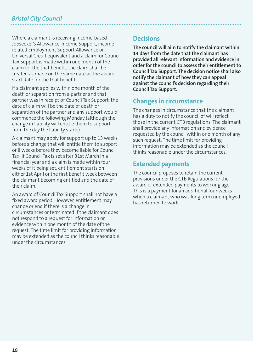Where a claimant is receiving income-based Jobseeker's Allowance, Income Support, incomerelated Employment Support Allowance or Universal Credit equivalent and a claim for Council Tax Support is made within one month of the claim for the that benefit, the claim shall be treated as made on the same date as the award start date for the that benefit.

If a claimant applies within one month of the death or separation from a partner and that partner was in receipt of Council Tax Support, the date of claim will be the date of death or separation of the partner and any support would commence the following Monday (although the change in liability will entitle them to support from the day the liability starts).

A claimant may apply for support up to 13 weeks before a change that will entitle them to support or 8 weeks before they become liable for Council Tax. If Council Tax is set after 31st March in a financial year and a claim is made within four weeks of it being set, entitlement starts on either 1st April or the first benefit week between the claimant becoming entitled and the date of their claim.

An award of Council Tax Support shall not have a fixed award period. However, entitlement may change or end if there is a change in circumstances or terminated if the claimant does not respond to a request for information or evidence within one month of the date of the request. The time limit for providing information may be extended as the council thinks reasonable under the circumstances.

### **Decisions**

**The council will aim to notify the claimant within 14 days from the date that the claimant has provided all relevant information and evidence in order for the council to assess their entitlement to Council Tax Support. The decision notice shall also notify the claimant of how they can appeal against the council's decision regarding their Council Tax Support.**

### **Changes in circumstance**

The changes in circumstance that the claimant has a duty to notify the council of will reflect those in the current CTB regulations. The claimant shall provide any information and evidence requested by the council within one month of any such request. The time limit for providing information may be extended as the council thinks reasonable under the circumstances.

### **Extended payments**

The council proposes to retain the current provisions under the CTB Regulations for the award of extended payments to working age. This is a payment for an additional four weeks when a claimant who was long term unemployed has returned to work.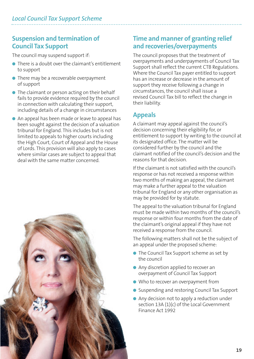### **Suspension and termination of Council Tax Support**

The council may suspend support if:

- **•** There is a doubt over the claimant's entitlement to support
- There may be a recoverable overpayment of support
- $\bullet$  The claimant or person acting on their behalf fails to provide evidence required by the council in connection with calculating their support, including details of a change in circumstances
- l An appeal has been made or leave to appeal has been sought against the decision of a valuation tribunal for England. This includes but is not limited to appeals to higher courts including the High Court, Court of Appeal and the House of Lords. This provision will also apply to cases where similar cases are subject to appeal that deal with the same matter concerned.



### **Time and manner of granting relief and recoveries/overpayments**

The council proposes that the treatment of overpayments and underpayments of Council Tax Support shall reflect the current CTB Regulations. Where the Council Tax payer entitled to support has an increase or decrease in the amount of support they receive following a change in circumstances, the council shall issue a revised Council Tax bill to reflect the change in their liability.

### **Appeals**

A claimant may appeal against the council's decision concerning their eligibility for, or entitlement to support by writing to the council at its designated office. The matter will be considered further by the council and the claimant notified of the council's decision and the reasons for that decision.

If the claimant is not satisfied with the council's response or has not received a response within two months of making an appeal, the claimant may make a further appeal to the valuation tribunal for England or any other organisation as may be provided for by statute.

The appeal to the valuation tribunal for England must be made within two months of the council's response or within four months from the date of the claimant's original appeal if they have not received a response from the council.

The following matters shall not be the subject of an appeal under the proposed scheme:

- $\bullet$  The Council Tax Support scheme as set by the council
- Any discretion applied to recover an overpayment of Council Tax Support
- Who to recover an overpayment from
- Suspending and restoring Council Tax Support
- $\bullet$  Any decision not to apply a reduction under section 13A (1)(c) of the Local Government Finance Act 1992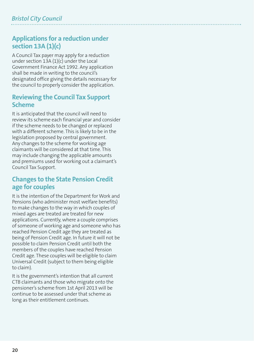### **Applications for a reduction under section 13A (1)(c)**

A Council Tax payer may apply for a reduction under section 13A (1)(c) under the Local Government Finance Act 1992. Any application shall be made in writing to the council's designated office giving the details necessary for the council to properly consider the application.

### **Reviewing the Council Tax Support Scheme**

It is anticipated that the council will need to review its scheme each financial year and consider if the scheme needs to be changed or replaced with a different scheme. This is likely to be in the legislation proposed by central government. Any changes to the scheme for working age claimants will be considered at that time. This may include changing the applicable amounts and premiums used for working out a claimant's Council Tax Support.

### **Changes to the State Pension Credit age for couples**

It is the intention of the Department for Work and Pensions (who administer most welfare benefits) to make changes to the way in which couples of mixed ages are treated are treated for new applications. Currently, where a couple comprises of someone of working age and someone who has reached Pension Credit age they are treated as being of Pension Credit age. In future it will not be possible to claim Pension Credit until both the members of the couples have reached Pension Credit age. These couples will be eligible to claim Universal Credit (subject to them being eligible to claim).

It is the government's intention that all current CTB claimants and those who migrate onto the pensioner's scheme from 1st April 2013 will be continue to be assessed under that scheme as long as their entitlement continues.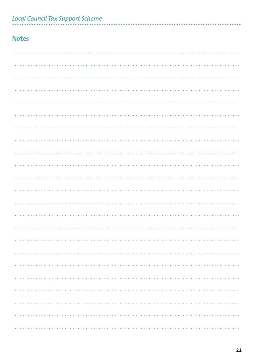|  | <b>Local Council Tax Support Scheme</b> |  |
|--|-----------------------------------------|--|
|  |                                         |  |

### **Notes**

 $\ddotsc$